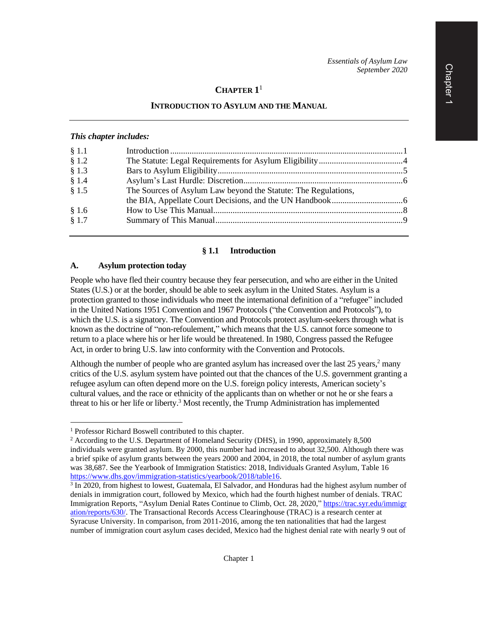# **CHAPTER 1** 1

### **INTRODUCTION TO ASYLUM AND THE MANUAL**

#### *This chapter includes:*

| § 1.1 |                                                                |  |
|-------|----------------------------------------------------------------|--|
| \$1.2 |                                                                |  |
| § 1.3 |                                                                |  |
| § 1.4 |                                                                |  |
| § 1.5 | The Sources of Asylum Law beyond the Statute: The Regulations, |  |
|       |                                                                |  |
| § 1.6 |                                                                |  |
| § 1.7 |                                                                |  |
|       |                                                                |  |

#### **§ 1.1 Introduction**

#### **A. Asylum protection today**

People who have fled their country because they fear persecution, and who are either in the United States (U.S.) or at the border, should be able to seek asylum in the United States. Asylum is a protection granted to those individuals who meet the international definition of a "refugee" included in the United Nations 1951 Convention and 1967 Protocols ("the Convention and Protocols"), to which the U.S. is a signatory. The Convention and Protocols protect asylum-seekers through what is known as the doctrine of "non-refoulement," which means that the U.S. cannot force someone to return to a place where his or her life would be threatened. In 1980, Congress passed the Refugee Act, in order to bring U.S. law into conformity with the Convention and Protocols.

Although the number of people who are granted asylum has increased over the last  $25$  years,<sup>2</sup> many critics of the U.S. asylum system have pointed out that the chances of the U.S. government granting a refugee asylum can often depend more on the U.S. foreign policy interests, American society's cultural values, and the race or ethnicity of the applicants than on whether or not he or she fears a threat to his or her life or liberty. <sup>3</sup> Most recently, the Trump Administration has implemented

<sup>1</sup> Professor Richard Boswell contributed to this chapter.

<sup>2</sup> According to the U.S. Department of Homeland Security (DHS), in 1990, approximately 8,500 individuals were granted asylum. By 2000, this number had increased to about 32,500. Although there was a brief spike of asylum grants between the years 2000 and 2004, in 2018, the total number of asylum grants was 38,687. See the Yearbook of Immigration Statistics: 2018, Individuals Granted Asylum, Table 16 [https://www.dhs.gov/immigration-statistics/yearbook/2018/table16.](https://www.dhs.gov/immigration-statistics/yearbook/2018/table16)

<sup>&</sup>lt;sup>3</sup> In 2020, from highest to lowest, Guatemala, El Salvador, and Honduras had the highest asylum number of denials in immigration court, followed by Mexico, which had the fourth highest number of denials. TRAC Immigration Reports, "Asylum Denial Rates Continue to Climb, Oct. 28, 2020," [https://trac.syr.edu/immigr](https://trac.syr.edu/immigration/reports/630/) [ation/reports/630/.](https://trac.syr.edu/immigration/reports/630/) The Transactional Records Access Clearinghouse (TRAC) is a research center at Syracuse University. In comparison, from 2011-2016, among the ten nationalities that had the largest number of immigration court asylum cases decided, Mexico had the highest denial rate with nearly 9 out of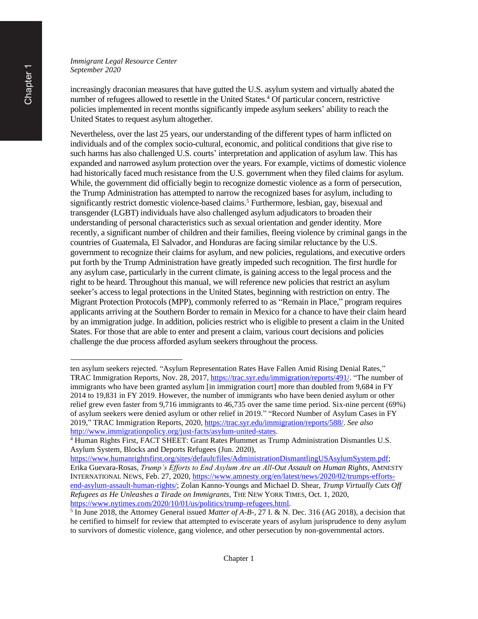increasingly draconian measures that have gutted the U.S. asylum system and virtually abated the number of refugees allowed to resettle in the United States. <sup>4</sup> Of particular concern, restrictive policies implemented in recent months significantly impede asylum seekers' ability to reach the United States to request asylum altogether.

Nevertheless, over the last 25 years, our understanding of the different types of harm inflicted on individuals and of the complex socio-cultural, economic, and political conditions that give rise to such harms has also challenged U.S. courts' interpretation and application of asylum law. This has expanded and narrowed asylum protection over the years. For example, victims of domestic violence had historically faced much resistance from the U.S. government when they filed claims for asylum. While, the government did officially begin to recognize domestic violence as a form of persecution, the Trump Administration has attempted to narrow the recognized bases for asylum, including to significantly restrict domestic violence-based claims. <sup>5</sup> Furthermore, lesbian, gay, bisexual and transgender (LGBT) individuals have also challenged asylum adjudicators to broaden their understanding of personal characteristics such as sexual orientation and gender identity. More recently, a significant number of children and their families, fleeing violence by criminal gangs in the countries of Guatemala, El Salvador, and Honduras are facing similar reluctance by the U.S. government to recognize their claims for asylum, and new policies, regulations, and executive orders put forth by the Trump Administration have greatly impeded such recognition. The first hurdle for any asylum case, particularly in the current climate, is gaining access to the legal process and the right to be heard. Throughout this manual, we will reference new policies that restrict an asylum seeker's access to legal protections in the United States, beginning with restriction on entry. The Migrant Protection Protocols (MPP), commonly referred to as "Remain in Place," program requires applicants arriving at the Southern Border to remain in Mexico for a chance to have their claim heard by an immigration judge. In addition, policies restrict who is eligible to present a claim in the United States. For those that are able to enter and present a claim, various court decisions and policies challenge the due process afforded asylum seekers throughout the process.

ten asylum seekers rejected. "Asylum Representation Rates Have Fallen Amid Rising Denial Rates," TRAC Immigration Reports, Nov. 28, 2017, [https://trac.syr.edu/immigration/reports/491/.](https://trac.syr.edu/immigration/reports/491/) "The number of immigrants who have been granted asylum [in immigration court] more than doubled from 9,684 in FY 2014 to 19,831 in FY 2019. However, the number of immigrants who have been denied asylum or other relief grew even faster from 9,716 immigrants to 46,735 over the same time period. Six-nine percent (69%) of asylum seekers were denied asylum or other relief in 2019." "Record Number of Asylum Cases in FY 2019," TRAC Immigration Reports, 2020, [https://trac.syr.edu/immigration/reports/588/.](https://trac.syr.edu/immigration/reports/588/) *See also* [http://www.immigrationpolicy.org/just-facts/asylum-united-states.](http://www.immigrationpolicy.org/just-facts/asylum-united-states)

<sup>4</sup> Human Rights First, FACT SHEET: Grant Rates Plummet as Trump Administration Dismantles U.S. Asylum System, Blocks and Deports Refugees (Jun. 2020),

[https://www.humanrightsfirst.org/sites/default/files/AdministrationDismantlingUSAsylumSystem.pdf;](https://www.humanrightsfirst.org/sites/default/files/AdministrationDismantlingUSAsylumSystem.pdf) Erika Guevara-Rosas, *Trump's Efforts to End Asylum Are an All-Out Assault on Human Rights*, AMNESTY INTERNATIONAL NEWS, Feb. 27, 2020[, https://www.amnesty.org/en/latest/news/2020/02/trumps-efforts](https://www.amnesty.org/en/latest/news/2020/02/trumps-efforts-end-asylum-assault-human-rights/)[end-asylum-assault-human-rights/;](https://www.amnesty.org/en/latest/news/2020/02/trumps-efforts-end-asylum-assault-human-rights/) Zolan Kanno-Youngs and Michael D. Shear, *Trump Virtually Cuts Off Refugees as He Unleashes a Tirade on Immigrants*, THE NEW YORK TIMES, Oct. 1, 2020, [https://www.nytimes.com/2020/10/01/us/politics/trump-refugees.html.](https://www.nytimes.com/2020/10/01/us/politics/trump-refugees.html)

<sup>5</sup> In June 2018, the Attorney General issued *Matter of A-B-*, 27 I. & N. Dec. 316 (AG 2018), a decision that he certified to himself for review that attempted to eviscerate years of asylum jurisprudence to deny asylum to survivors of domestic violence, gang violence, and other persecution by non-governmental actors.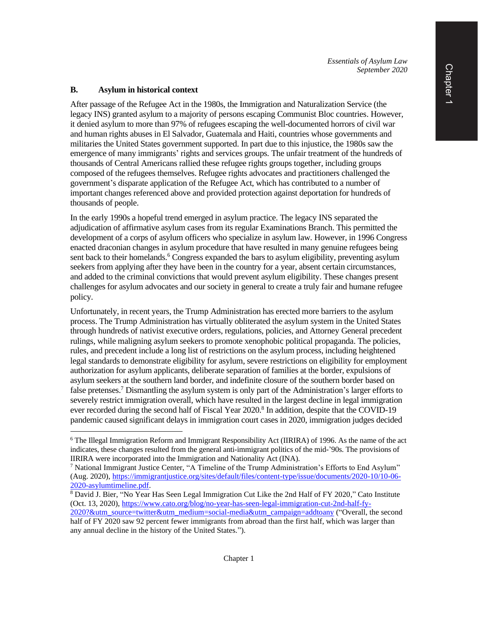*Essentials of Asylum Law September 2020*

#### **B. Asylum in historical context**

After passage of the Refugee Act in the 1980s, the Immigration and Naturalization Service (the legacy INS) granted asylum to a majority of persons escaping Communist Bloc countries. However, it denied asylum to more than 97% of refugees escaping the well-documented horrors of civil war and human rights abuses in El Salvador, Guatemala and Haiti, countries whose governments and militaries the United States government supported. In part due to this injustice, the 1980s saw the emergence of many immigrants' rights and services groups. The unfair treatment of the hundreds of thousands of Central Americans rallied these refugee rights groups together, including groups composed of the refugees themselves. Refugee rights advocates and practitioners challenged the government's disparate application of the Refugee Act, which has contributed to a number of important changes referenced above and provided protection against deportation for hundreds of thousands of people.

In the early 1990s a hopeful trend emerged in asylum practice. The legacy INS separated the adjudication of affirmative asylum cases from its regular Examinations Branch. This permitted the development of a corps of asylum officers who specialize in asylum law. However, in 1996 Congress enacted draconian changes in asylum procedure that have resulted in many genuine refugees being sent back to their homelands.<sup>6</sup> Congress expanded the bars to asylum eligibility, preventing asylum seekers from applying after they have been in the country for a year, absent certain circumstances, and added to the criminal convictions that would prevent asylum eligibility. These changes present challenges for asylum advocates and our society in general to create a truly fair and humane refugee policy.

Unfortunately, in recent years, the Trump Administration has erected more barriers to the asylum process. The Trump Administration has virtually obliterated the asylum system in the United States through hundreds of nativist executive orders, regulations, policies, and Attorney General precedent rulings, while maligning asylum seekers to promote xenophobic political propaganda. The policies, rules, and precedent include a long list of restrictions on the asylum process, including heightened legal standards to demonstrate eligibility for asylum, severe restrictions on eligibility for employment authorization for asylum applicants, deliberate separation of families at the border, expulsions of asylum seekers at the southern land border, and indefinite closure of the southern border based on false pretenses.<sup>7</sup> Dismantling the asylum system is only part of the Administration's larger efforts to severely restrict immigration overall, which have resulted in the largest decline in legal immigration ever recorded during the second half of Fiscal Year 2020.<sup>8</sup> In addition, despite that the COVID-19 pandemic caused significant delays in immigration court cases in 2020, immigration judges decided

<sup>6</sup> The Illegal Immigration Reform and Immigrant Responsibility Act (IIRIRA) of 1996. As the name of the act indicates, these changes resulted from the general anti-immigrant politics of the mid-'90s. The provisions of IIRIRA were incorporated into the Immigration and Nationality Act (INA).

<sup>&</sup>lt;sup>7</sup> National Immigrant Justice Center, "A Timeline of the Trump Administration's Efforts to End Asylum" (Aug. 2020), [https://immigrantjustice.org/sites/default/files/content-type/issue/documents/2020-10/10-06-](https://immigrantjustice.org/sites/default/files/content-type/issue/documents/2020-10/10-06-2020-asylumtimeline.pdf) [2020-asylumtimeline.pdf.](https://immigrantjustice.org/sites/default/files/content-type/issue/documents/2020-10/10-06-2020-asylumtimeline.pdf)

<sup>&</sup>lt;sup>8</sup> David J. Bier, "No Year Has Seen Legal Immigration Cut Like the 2nd Half of FY 2020," Cato Institute (Oct. 13, 2020), [https://www.cato.org/blog/no-year-has-seen-legal-immigration-cut-2nd-half-fy-](https://www.cato.org/blog/no-year-has-seen-legal-immigration-cut-2nd-half-fy-2020?&utm_source=twitter&utm_medium=social-media&utm_campaign=addtoany)

[<sup>2020?&</sup>amp;utm\\_source=twitter&utm\\_medium=social-media&utm\\_campaign=addtoany](https://www.cato.org/blog/no-year-has-seen-legal-immigration-cut-2nd-half-fy-2020?&utm_source=twitter&utm_medium=social-media&utm_campaign=addtoany) ("Overall, the second half of FY 2020 saw 92 percent fewer immigrants from abroad than the first half, which was larger than any annual decline in the history of the United States.").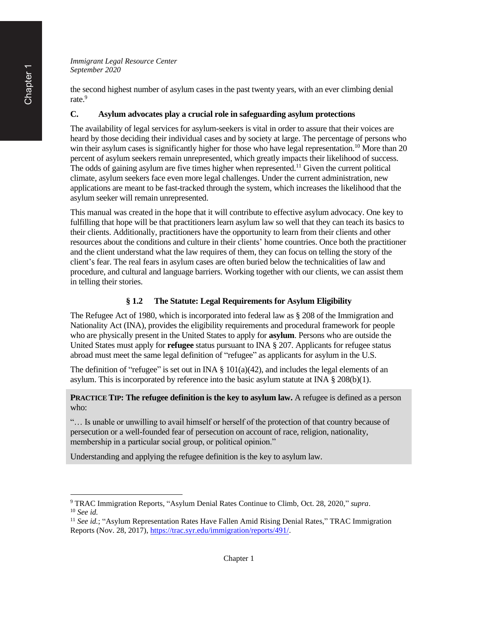the second highest number of asylum cases in the past twenty years, with an ever climbing denial rate.<sup>9</sup>

## **C. Asylum advocates play a crucial role in safeguarding asylum protections**

The availability of legal services for asylum-seekers is vital in order to assure that their voices are heard by those deciding their individual cases and by society at large. The percentage of persons who win their asylum cases is significantly higher for those who have legal representation.<sup>10</sup> More than 20 percent of asylum seekers remain unrepresented, which greatly impacts their likelihood of success. The odds of gaining asylum are five times higher when represented.<sup>11</sup> Given the current political climate, asylum seekers face even more legal challenges. Under the current administration, new applications are meant to be fast-tracked through the system, which increases the likelihood that the asylum seeker will remain unrepresented.

This manual was created in the hope that it will contribute to effective asylum advocacy. One key to fulfilling that hope will be that practitioners learn asylum law so well that they can teach its basics to their clients. Additionally, practitioners have the opportunity to learn from their clients and other resources about the conditions and culture in their clients' home countries. Once both the practitioner and the client understand what the law requires of them, they can focus on telling the story of the client's fear. The real fears in asylum cases are often buried below the technicalities of law and procedure, and cultural and language barriers. Working together with our clients, we can assist them in telling their stories.

# **§ 1.2 The Statute: Legal Requirements for Asylum Eligibility**

The Refugee Act of 1980, which is incorporated into federal law as § 208 of the Immigration and Nationality Act (INA), provides the eligibility requirements and procedural framework for people who are physically present in the United States to apply for **asylum**. Persons who are outside the United States must apply for **refugee** status pursuant to INA § 207. Applicants for refugee status abroad must meet the same legal definition of "refugee" as applicants for asylum in the U.S.

The definition of "refugee" is set out in INA  $\S$  101(a)(42), and includes the legal elements of an asylum. This is incorporated by reference into the basic asylum statute at INA § 208(b)(1).

**PRACTICE TIP: The refugee definition is the key to asylum law.** A refugee is defined as a person who:

"… Is unable or unwilling to avail himself or herself of the protection of that country because of persecution or a well-founded fear of persecution on account of race, religion, nationality, membership in a particular social group, or political opinion."

Understanding and applying the refugee definition is the key to asylum law.

<sup>9</sup> TRAC Immigration Reports, "Asylum Denial Rates Continue to Climb, Oct. 28, 2020," *supra*. <sup>10</sup> *See id.*

<sup>&</sup>lt;sup>11</sup> See id.; "Asylum Representation Rates Have Fallen Amid Rising Denial Rates," TRAC Immigration Reports (Nov. 28, 2017)[, https://trac.syr.edu/immigration/reports/491/.](https://trac.syr.edu/immigration/reports/491/)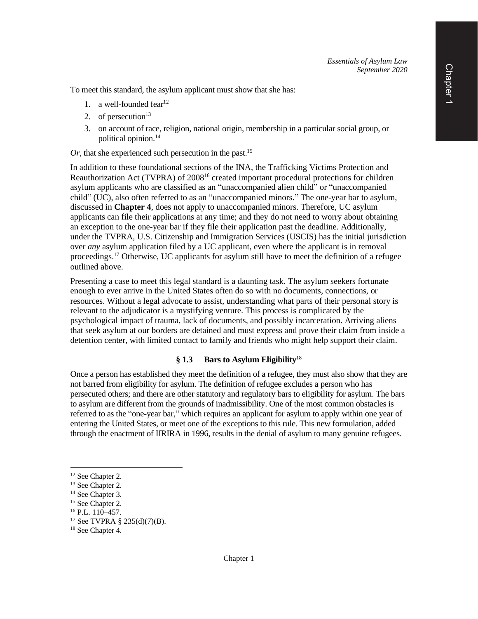To meet this standard, the asylum applicant must show that she has:

- 1. a well-founded fear<sup>12</sup>
- 2. of persecution $13$
- 3. on account of race, religion, national origin, membership in a particular social group, or political opinion.<sup>14</sup>

*Or*, that she experienced such persecution in the past.<sup>15</sup>

In addition to these foundational sections of the INA, the Trafficking Victims Protection and Reauthorization Act (TVPRA) of 2008<sup>16</sup> created important procedural protections for children asylum applicants who are classified as an "unaccompanied alien child" or "unaccompanied child" (UC), also often referred to as an "unaccompanied minors." The one-year bar to asylum, discussed in **Chapter 4**, does not apply to unaccompanied minors. Therefore, UC asylum applicants can file their applications at any time; and they do not need to worry about obtaining an exception to the one-year bar if they file their application past the deadline. Additionally, under the TVPRA, U.S. Citizenship and Immigration Services (USCIS) has the initial jurisdiction over *any* asylum application filed by a UC applicant, even where the applicant is in removal proceedings.<sup>17</sup> Otherwise, UC applicants for asylum still have to meet the definition of a refugee outlined above.

Presenting a case to meet this legal standard is a daunting task. The asylum seekers fortunate enough to ever arrive in the United States often do so with no documents, connections, or resources. Without a legal advocate to assist, understanding what parts of their personal story is relevant to the adjudicator is a mystifying venture. This process is complicated by the psychological impact of trauma, lack of documents, and possibly incarceration. Arriving aliens that seek asylum at our borders are detained and must express and prove their claim from inside a detention center, with limited contact to family and friends who might help support their claim.

#### **§ 1.3 Bars to Asylum Eligibility**<sup>18</sup>

Once a person has established they meet the definition of a refugee, they must also show that they are not barred from eligibility for asylum. The definition of refugee excludes a person who has persecuted others; and there are other statutory and regulatory bars to eligibility for asylum. The bars to asylum are different from the grounds of inadmissibility. One of the most common obstacles is referred to as the "one-year bar," which requires an applicant for asylum to apply within one year of entering the United States, or meet one of the exceptions to this rule. This new formulation, added through the enactment of IIRIRA in 1996, results in the denial of asylum to many genuine refugees.

<sup>&</sup>lt;sup>12</sup> See Chapter 2.

<sup>&</sup>lt;sup>13</sup> See Chapter 2.

<sup>&</sup>lt;sup>14</sup> See Chapter 3.

<sup>&</sup>lt;sup>15</sup> See Chapter 2.

<sup>16</sup> P.L. 110–457.

<sup>17</sup> See TVPRA § 235(d)(7)(B).

<sup>&</sup>lt;sup>18</sup> See Chapter 4.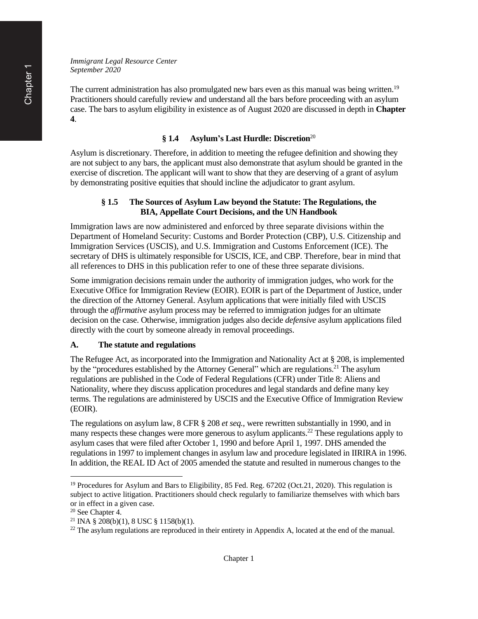The current administration has also promulgated new bars even as this manual was being written.<sup>19</sup> Practitioners should carefully review and understand all the bars before proceeding with an asylum case. The bars to asylum eligibility in existence as of August 2020 are discussed in depth in **Chapter 4**.

#### **§ 1.4 Asylum's Last Hurdle: Discretion**<sup>20</sup>

Asylum is discretionary. Therefore, in addition to meeting the refugee definition and showing they are not subject to any bars, the applicant must also demonstrate that asylum should be granted in the exercise of discretion. The applicant will want to show that they are deserving of a grant of asylum by demonstrating positive equities that should incline the adjudicator to grant asylum.

#### **§ 1.5 The Sources of Asylum Law beyond the Statute: The Regulations, the BIA, Appellate Court Decisions, and the UN Handbook**

Immigration laws are now administered and enforced by three separate divisions within the Department of Homeland Security: Customs and Border Protection (CBP), U.S. Citizenship and Immigration Services (USCIS), and U.S. Immigration and Customs Enforcement (ICE). The secretary of DHS is ultimately responsible for USCIS, ICE, and CBP. Therefore, bear in mind that all references to DHS in this publication refer to one of these three separate divisions.

Some immigration decisions remain under the authority of immigration judges, who work for the Executive Office for Immigration Review (EOIR). EOIR is part of the Department of Justice, under the direction of the Attorney General. Asylum applications that were initially filed with USCIS through the *affirmative* asylum process may be referred to immigration judges for an ultimate decision on the case. Otherwise, immigration judges also decide *defensive* asylum applications filed directly with the court by someone already in removal proceedings.

#### **A. The statute and regulations**

The Refugee Act, as incorporated into the Immigration and Nationality Act at § 208, is implemented by the "procedures established by the Attorney General" which are regulations.<sup>21</sup> The asylum regulations are published in the Code of Federal Regulations (CFR) under Title 8: Aliens and Nationality, where they discuss application procedures and legal standards and define many key terms. The regulations are administered by USCIS and the Executive Office of Immigration Review (EOIR).

The regulations on asylum law, 8 CFR § 208 *et seq.*, were rewritten substantially in 1990, and in many respects these changes were more generous to asylum applicants.<sup>22</sup> These regulations apply to asylum cases that were filed after October 1, 1990 and before April 1, 1997. DHS amended the regulations in 1997 to implement changes in asylum law and procedure legislated in IIRIRA in 1996. In addition, the REAL ID Act of 2005 amended the statute and resulted in numerous changes to the

<sup>&</sup>lt;sup>19</sup> Procedures for Asylum and Bars to Eligibility, 85 Fed. Reg. 67202 (Oct.21, 2020). This regulation is subject to active litigation. Practitioners should check regularly to familiarize themselves with which bars or in effect in a given case.

<sup>20</sup> See Chapter 4.

<sup>&</sup>lt;sup>21</sup> INA § 208(b)(1), 8 USC § 1158(b)(1).

<sup>&</sup>lt;sup>22</sup> The asylum regulations are reproduced in their entirety in Appendix A, located at the end of the manual.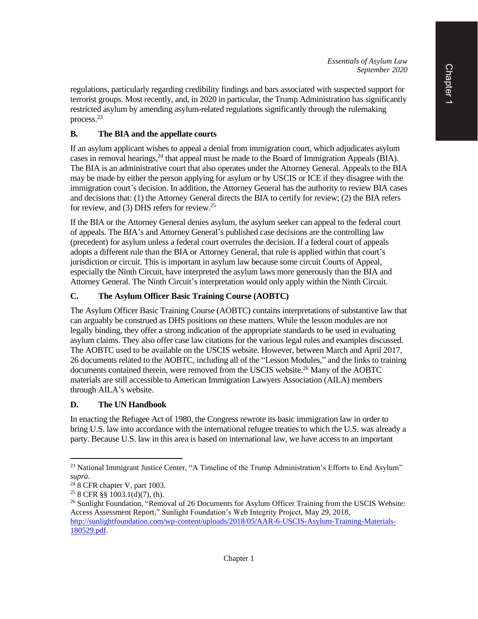regulations, particularly regarding credibility findings and bars associated with suspected support for terrorist groups. Most recently, and, in 2020 in particular, the Trump Administration has significantly restricted asylum by amending asylum-related regulations significantly through the rulemaking process. 23

# **B. The BIA and the appellate courts**

If an asylum applicant wishes to appeal a denial from immigration court, which adjudicates asylum cases in removal hearings,<sup>24</sup> that appeal must be made to the Board of Immigration Appeals (BIA). The BIA is an administrative court that also operates under the Attorney General. Appeals to the BIA may be made by either the person applying for asylum or by USCIS or ICE if they disagree with the immigration court's decision. In addition, the Attorney General has the authority to review BIA cases and decisions that: (1) the Attorney General directs the BIA to certify for review; (2) the BIA refers for review, and (3) DHS refers for review.<sup>25</sup>

If the BIA or the Attorney General denies asylum, the asylum seeker can appeal to the federal court of appeals. The BIA's and Attorney General's published case decisions are the controlling law (precedent) for asylum unless a federal court overrules the decision. If a federal court of appeals adopts a different rule than the BIA or Attorney General, that rule is applied within that court's jurisdiction or circuit. This is important in asylum law because some circuit Courts of Appeal, especially the Ninth Circuit, have interpreted the asylum laws more generously than the BIA and Attorney General. The Ninth Circuit's interpretation would only apply within the Ninth Circuit.

# **C. The Asylum Officer Basic Training Course (AOBTC)**

The Asylum Officer Basic Training Course (AOBTC) contains interpretations of substantive law that can arguably be construed as DHS positions on these matters. While the lesson modules are not legally binding, they offer a strong indication of the appropriate standards to be used in evaluating asylum claims. They also offer case law citations for the various legal rules and examples discussed. The AOBTC used to be available on the USCIS website. However, between March and April 2017, 26 documents related to the AOBTC, including all of the "Lesson Modules," and the links to training documents contained therein, were removed from the USCIS website.<sup>26</sup> Many of the AOBTC materials are still accessible to American Immigration Lawyers Association (AILA) members through AILA's website.

### **D. The UN Handbook**

In enacting the Refugee Act of 1980, the Congress rewrote its basic immigration law in order to bring U.S. law into accordance with the international refugee treaties to which the U.S. was already a party. Because U.S. law in this area is based on international law, we have access to an important

<sup>&</sup>lt;sup>23</sup> National Immigrant Justice Center, "A Timeline of the Trump Administration's Efforts to End Asylum" *supra*.

 $24$  8 CFR chapter V, part 1003.

<sup>25</sup> 8 CFR §§ 1003.1(d)(7), (h).

<sup>&</sup>lt;sup>26</sup> Sunlight Foundation, "Removal of 26 Documents for Asylum Officer Training from the USCIS Website: Access Assessment Report," Sunlight Foundation's Web Integrity Project, May 29, 2018, [http://sunlightfoundation.com/wp-content/uploads/2018/05/AAR-6-USCIS-Asylum-Training-Materials-](http://sunlightfoundation.com/wp-content/uploads/2018/05/AAR-6-USCIS-Asylum-Training-Materials-180529.pdf)[180529.pdf.](http://sunlightfoundation.com/wp-content/uploads/2018/05/AAR-6-USCIS-Asylum-Training-Materials-180529.pdf)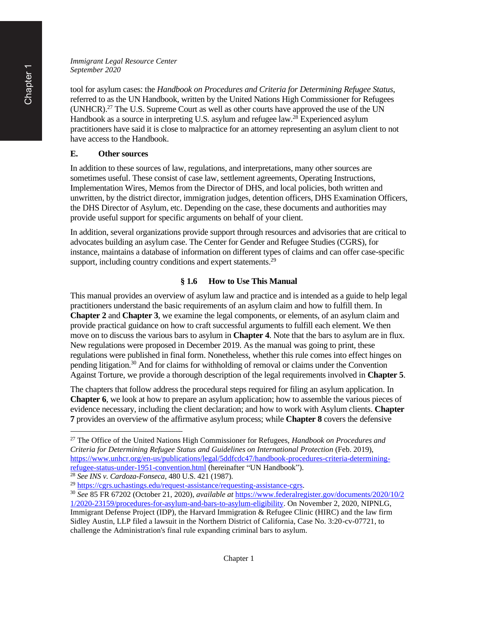tool for asylum cases: the *Handbook on Procedures and Criteria for Determining Refugee Status*, referred to as the UN Handbook, written by the United Nations High Commissioner for Refugees (UNHCR).<sup>27</sup> The U.S. Supreme Court as well as other courts have approved the use of the UN Handbook as a source in interpreting U.S. asylum and refugee law.<sup>28</sup> Experienced asylum practitioners have said it is close to malpractice for an attorney representing an asylum client to not have access to the Handbook.

### **E. Other sources**

In addition to these sources of law, regulations, and interpretations, many other sources are sometimes useful. These consist of case law, settlement agreements, Operating Instructions, Implementation Wires, Memos from the Director of DHS, and local policies, both written and unwritten, by the district director, immigration judges, detention officers, DHS Examination Officers, the DHS Director of Asylum, etc. Depending on the case, these documents and authorities may provide useful support for specific arguments on behalf of your client.

In addition, several organizations provide support through resources and advisories that are critical to advocates building an asylum case. The Center for Gender and Refugee Studies (CGRS), for instance, maintains a database of information on different types of claims and can offer case-specific support, including country conditions and expert statements.<sup>29</sup>

### **§ 1.6 How to Use This Manual**

This manual provides an overview of asylum law and practice and is intended as a guide to help legal practitioners understand the basic requirements of an asylum claim and how to fulfill them. In **Chapter 2** and **Chapter 3**, we examine the legal components, or elements, of an asylum claim and provide practical guidance on how to craft successful arguments to fulfill each element. We then move on to discuss the various bars to asylum in **Chapter 4**. Note that the bars to asylum are in flux. New regulations were proposed in December 2019. As the manual was going to print, these regulations were published in final form. Nonetheless, whether this rule comes into effect hinges on pending litigation.<sup>30</sup> And for claims for withholding of removal or claims under the Convention Against Torture, we provide a thorough description of the legal requirements involved in **Chapter 5**.

The chapters that follow address the procedural steps required for filing an asylum application. In **Chapter 6**, we look at how to prepare an asylum application; how to assemble the various pieces of evidence necessary, including the client declaration; and how to work with Asylum clients. **Chapter 7** provides an overview of the affirmative asylum process; while **Chapter 8** covers the defensive

<sup>27</sup> The Office of the United Nations High Commissioner for Refugees, *Handbook on Procedures and Criteria for Determining Refugee Status and Guidelines on International Protection* (Feb. 2019), [https://www.unhcr.org/en-us/publications/legal/5ddfcdc47/handbook-procedures-criteria-determining](https://www.unhcr.org/en-us/publications/legal/5ddfcdc47/handbook-procedures-criteria-determining-refugee-status-under-1951-convention.html)[refugee-status-under-1951-convention.html](https://www.unhcr.org/en-us/publications/legal/5ddfcdc47/handbook-procedures-criteria-determining-refugee-status-under-1951-convention.html) (hereinafter "UN Handbook").

<sup>28</sup> *See INS v. Cardoza-Fonseca*, 480 U.S. 421 (1987).

<sup>29</sup> [https://cgrs.uchastings.edu/request-assistance/requesting-assistance-cgrs.](https://cgrs.uchastings.edu/request-assistance/requesting-assistance-cgrs)

<sup>30</sup> *See* 85 FR 67202 (October 21, 2020), *available at* [https://www.federalregister.gov/documents/2020/10/2](https://www.federalregister.gov/documents/2020/10/21/2020-23159/procedures-for-asylum-and-bars-to-asylum-eligibility) [1/2020-23159/procedures-for-asylum-and-bars-to-asylum-eligibility.](https://www.federalregister.gov/documents/2020/10/21/2020-23159/procedures-for-asylum-and-bars-to-asylum-eligibility) On November 2, 2020, NIPNLG, Immigrant Defense Project (IDP), the Harvard Immigration & Refugee Clinic (HIRC) and the law firm Sidley Austin, LLP filed a lawsuit in the Northern District of California, Case No. 3:20-cv-07721, to challenge the Administration's final rule expanding criminal bars to asylum.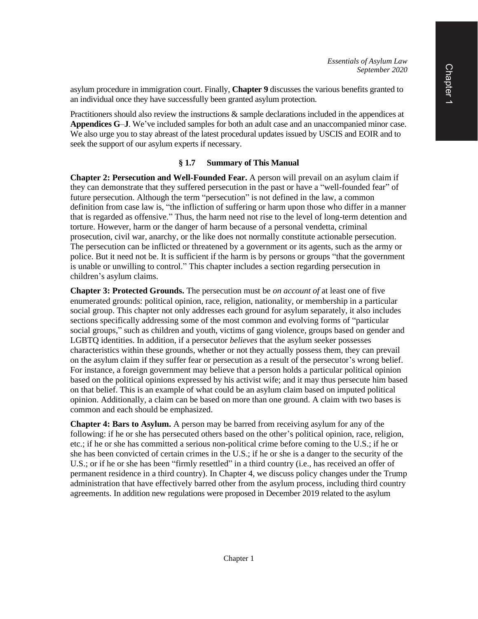asylum procedure in immigration court. Finally, **Chapter 9** discusses the various benefits granted to an individual once they have successfully been granted asylum protection.

Practitioners should also review the instructions & sample declarations included in the appendices at **Appendices G**–**J**. We've included samples for both an adult case and an unaccompanied minor case. We also urge you to stay abreast of the latest procedural updates issued by USCIS and EOIR and to seek the support of our asylum experts if necessary.

### **§ 1.7 Summary of This Manual**

**Chapter 2: Persecution and Well-Founded Fear.** A person will prevail on an asylum claim if they can demonstrate that they suffered persecution in the past or have a "well-founded fear" of future persecution. Although the term "persecution" is not defined in the law, a common definition from case law is, "the infliction of suffering or harm upon those who differ in a manner that is regarded as offensive." Thus, the harm need not rise to the level of long-term detention and torture. However, harm or the danger of harm because of a personal vendetta, criminal prosecution, civil war, anarchy, or the like does not normally constitute actionable persecution. The persecution can be inflicted or threatened by a government or its agents, such as the army or police. But it need not be. It is sufficient if the harm is by persons or groups "that the government is unable or unwilling to control." This chapter includes a section regarding persecution in children's asylum claims.

**Chapter 3: Protected Grounds.** The persecution must be *on account of* at least one of five enumerated grounds: political opinion, race, religion, nationality, or membership in a particular social group. This chapter not only addresses each ground for asylum separately, it also includes sections specifically addressing some of the most common and evolving forms of "particular social groups," such as children and youth, victims of gang violence, groups based on gender and LGBTQ identities. In addition, if a persecutor *believes* that the asylum seeker possesses characteristics within these grounds, whether or not they actually possess them, they can prevail on the asylum claim if they suffer fear or persecution as a result of the persecutor's wrong belief. For instance, a foreign government may believe that a person holds a particular political opinion based on the political opinions expressed by his activist wife; and it may thus persecute him based on that belief. This is an example of what could be an asylum claim based on imputed political opinion. Additionally, a claim can be based on more than one ground. A claim with two bases is common and each should be emphasized.

**Chapter 4: Bars to Asylum.** A person may be barred from receiving asylum for any of the following: if he or she has persecuted others based on the other's political opinion, race, religion, etc.; if he or she has committed a serious non-political crime before coming to the U.S.; if he or she has been convicted of certain crimes in the U.S.; if he or she is a danger to the security of the U.S.; or if he or she has been "firmly resettled" in a third country (i.e., has received an offer of permanent residence in a third country). In Chapter 4, we discuss policy changes under the Trump administration that have effectively barred other from the asylum process, including third country agreements. In addition new regulations were proposed in December 2019 related to the asylum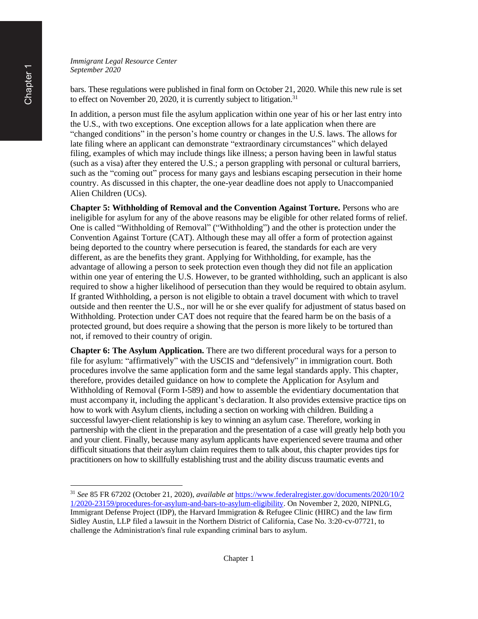bars. These regulations were published in final form on October 21, 2020. While this new rule is set to effect on November 20, 2020, it is currently subject to litigation.<sup>31</sup>

In addition, a person must file the asylum application within one year of his or her last entry into the U.S., with two exceptions. One exception allows for a late application when there are "changed conditions" in the person's home country or changes in the U.S. laws. The allows for late filing where an applicant can demonstrate "extraordinary circumstances" which delayed filing, examples of which may include things like illness; a person having been in lawful status (such as a visa) after they entered the U.S.; a person grappling with personal or cultural barriers, such as the "coming out" process for many gays and lesbians escaping persecution in their home country. As discussed in this chapter, the one-year deadline does not apply to Unaccompanied Alien Children (UCs).

**Chapter 5: Withholding of Removal and the Convention Against Torture.** Persons who are ineligible for asylum for any of the above reasons may be eligible for other related forms of relief. One is called "Withholding of Removal" ("Withholding") and the other is protection under the Convention Against Torture (CAT). Although these may all offer a form of protection against being deported to the country where persecution is feared, the standards for each are very different, as are the benefits they grant. Applying for Withholding, for example, has the advantage of allowing a person to seek protection even though they did not file an application within one year of entering the U.S. However, to be granted withholding, such an applicant is also required to show a higher likelihood of persecution than they would be required to obtain asylum. If granted Withholding, a person is not eligible to obtain a travel document with which to travel outside and then reenter the U.S., nor will he or she ever qualify for adjustment of status based on Withholding. Protection under CAT does not require that the feared harm be on the basis of a protected ground, but does require a showing that the person is more likely to be tortured than not, if removed to their country of origin.

**Chapter 6: The Asylum Application.** There are two different procedural ways for a person to file for asylum: "affirmatively" with the USCIS and "defensively" in immigration court. Both procedures involve the same application form and the same legal standards apply. This chapter, therefore, provides detailed guidance on how to complete the Application for Asylum and Withholding of Removal (Form I-589) and how to assemble the evidentiary documentation that must accompany it, including the applicant's declaration. It also provides extensive practice tips on how to work with Asylum clients, including a section on working with children. Building a successful lawyer-client relationship is key to winning an asylum case. Therefore, working in partnership with the client in the preparation and the presentation of a case will greatly help both you and your client. Finally, because many asylum applicants have experienced severe trauma and other difficult situations that their asylum claim requires them to talk about, this chapter provides tips for practitioners on how to skillfully establishing trust and the ability discuss traumatic events and

<sup>31</sup> *See* 85 FR 67202 (October 21, 2020), *available at* [https://www.federalregister.gov/documents/2020/10/2](https://www.federalregister.gov/documents/2020/10/21/2020-23159/procedures-for-asylum-and-bars-to-asylum-eligibility) [1/2020-23159/procedures-for-asylum-and-bars-to-asylum-eligibility.](https://www.federalregister.gov/documents/2020/10/21/2020-23159/procedures-for-asylum-and-bars-to-asylum-eligibility) On November 2, 2020, NIPNLG, Immigrant Defense Project (IDP), the Harvard Immigration & Refugee Clinic (HIRC) and the law firm Sidley Austin, LLP filed a lawsuit in the Northern District of California, Case No. 3:20-cv-07721, to challenge the Administration's final rule expanding criminal bars to asylum.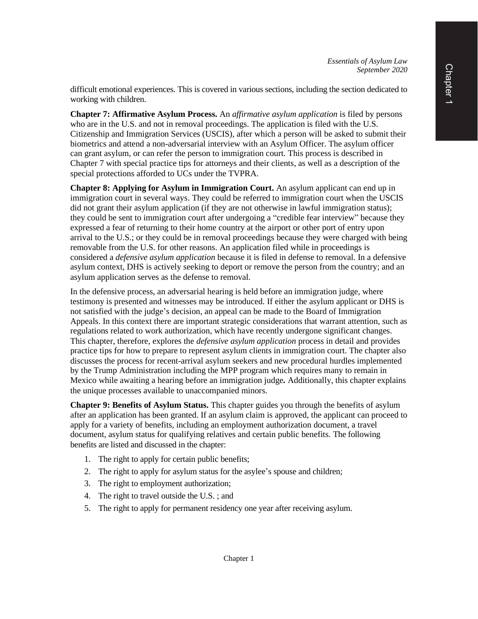difficult emotional experiences. This is covered in various sections, including the section dedicated to working with children.

**Chapter 7: Affirmative Asylum Process.** An *affirmative asylum application* is filed by persons who are in the U.S. and not in removal proceedings. The application is filed with the U.S. Citizenship and Immigration Services (USCIS), after which a person will be asked to submit their biometrics and attend a non-adversarial interview with an Asylum Officer. The asylum officer can grant asylum, or can refer the person to immigration court. This process is described in Chapter 7 with special practice tips for attorneys and their clients, as well as a description of the special protections afforded to UCs under the TVPRA.

**Chapter 8: Applying for Asylum in Immigration Court.** An asylum applicant can end up in immigration court in several ways. They could be referred to immigration court when the USCIS did not grant their asylum application (if they are not otherwise in lawful immigration status); they could be sent to immigration court after undergoing a "credible fear interview" because they expressed a fear of returning to their home country at the airport or other port of entry upon arrival to the U.S.; or they could be in removal proceedings because they were charged with being removable from the U.S. for other reasons. An application filed while in proceedings is considered a *defensive asylum application* because it is filed in defense to removal. In a defensive asylum context, DHS is actively seeking to deport or remove the person from the country; and an asylum application serves as the defense to removal.

In the defensive process, an adversarial hearing is held before an immigration judge, where testimony is presented and witnesses may be introduced. If either the asylum applicant or DHS is not satisfied with the judge's decision, an appeal can be made to the Board of Immigration Appeals. In this context there are important strategic considerations that warrant attention, such as regulations related to work authorization, which have recently undergone significant changes. This chapter, therefore, explores the *defensive asylum application* process in detail and provides practice tips for how to prepare to represent asylum clients in immigration court. The chapter also discusses the process for recent-arrival asylum seekers and new procedural hurdles implemented by the Trump Administration including the MPP program which requires many to remain in Mexico while awaiting a hearing before an immigration judge*.* Additionally, this chapter explains the unique processes available to unaccompanied minors.

**Chapter 9: Benefits of Asylum Status.** This chapter guides you through the benefits of asylum after an application has been granted. If an asylum claim is approved, the applicant can proceed to apply for a variety of benefits, including an employment authorization document, a travel document, asylum status for qualifying relatives and certain public benefits. The following benefits are listed and discussed in the chapter:

- 1. The right to apply for certain public benefits;
- 2. The right to apply for asylum status for the asylee's spouse and children;
- 3. The right to employment authorization;
- 4. The right to travel outside the U.S. ; and
- 5. The right to apply for permanent residency one year after receiving asylum.